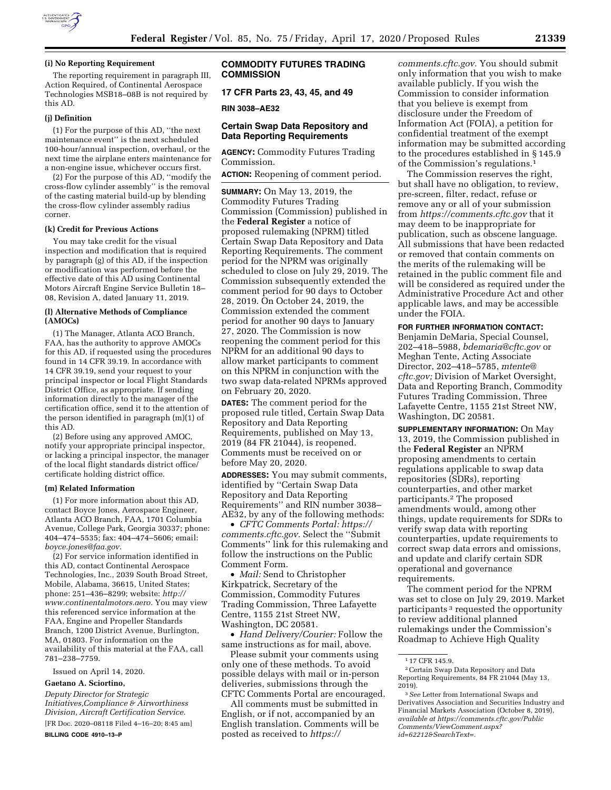

#### **(i) No Reporting Requirement**

The reporting requirement in paragraph III, Action Required, of Continental Aerospace Technologies MSB18–08B is not required by this AD.

#### **(j) Definition**

(1) For the purpose of this AD, ''the next maintenance event'' is the next scheduled 100-hour/annual inspection, overhaul, or the next time the airplane enters maintenance for a non-engine issue, whichever occurs first.

(2) For the purpose of this AD, ''modify the cross-flow cylinder assembly'' is the removal of the casting material build-up by blending the cross-flow cylinder assembly radius corner.

### **(k) Credit for Previous Actions**

You may take credit for the visual inspection and modification that is required by paragraph (g) of this AD, if the inspection or modification was performed before the effective date of this AD using Continental Motors Aircraft Engine Service Bulletin 18– 08, Revision A, dated January 11, 2019.

## **(l) Alternative Methods of Compliance (AMOCs)**

(1) The Manager, Atlanta ACO Branch, FAA, has the authority to approve AMOCs for this AD, if requested using the procedures found in 14 CFR 39.19. In accordance with 14 CFR 39.19, send your request to your principal inspector or local Flight Standards District Office, as appropriate. If sending information directly to the manager of the certification office, send it to the attention of the person identified in paragraph (m)(1) of this AD.

(2) Before using any approved AMOC, notify your appropriate principal inspector, or lacking a principal inspector, the manager of the local flight standards district office/ certificate holding district office.

#### **(m) Related Information**

(1) For more information about this AD, contact Boyce Jones, Aerospace Engineer, Atlanta ACO Branch, FAA, 1701 Columbia Avenue, College Park, Georgia 30337; phone: 404–474–5535; fax: 404–474–5606; email: *[boyce.jones@faa.gov.](mailto:boyce.jones@faa.gov)* 

(2) For service information identified in this AD, contact Continental Aerospace Technologies, Inc., 2039 South Broad Street, Mobile, Alabama, 36615, United States; phone: 251–436–8299; website: *[http://](http://www.continentalmotors.aero) [www.continentalmotors.aero.](http://www.continentalmotors.aero)* You may view this referenced service information at the FAA, Engine and Propeller Standards Branch, 1200 District Avenue, Burlington, MA, 01803. For information on the availability of this material at the FAA, call 781–238–7759.

Issued on April 14, 2020.

## **Gaetano A. Sciortino,**

*Deputy Director for Strategic Initiatives,Compliance & Airworthiness Division, Aircraft Certification Service.*  [FR Doc. 2020–08118 Filed 4–16–20; 8:45 am]

**BILLING CODE 4910–13–P** 

## **COMMODITY FUTURES TRADING COMMISSION**

**17 CFR Parts 23, 43, 45, and 49** 

#### **RIN 3038–AE32**

# **Certain Swap Data Repository and Data Reporting Requirements**

**AGENCY:** Commodity Futures Trading Commission.

**ACTION:** Reopening of comment period.

**SUMMARY:** On May 13, 2019, the Commodity Futures Trading Commission (Commission) published in the **Federal Register** a notice of proposed rulemaking (NPRM) titled Certain Swap Data Repository and Data Reporting Requirements. The comment period for the NPRM was originally scheduled to close on July 29, 2019. The Commission subsequently extended the comment period for 90 days to October 28, 2019. On October 24, 2019, the Commission extended the comment period for another 90 days to January 27, 2020. The Commission is now reopening the comment period for this NPRM for an additional 90 days to allow market participants to comment on this NPRM in conjunction with the two swap data-related NPRMs approved on February 20, 2020.

**DATES:** The comment period for the proposed rule titled, Certain Swap Data Repository and Data Reporting Requirements, published on May 13, 2019 (84 FR 21044), is reopened. Comments must be received on or before May 20, 2020.

**ADDRESSES:** You may submit comments, identified by ''Certain Swap Data Repository and Data Reporting Requirements'' and RIN number 3038– AE32, by any of the following methods:

• *CFTC Comments Portal: [https://](https://comments.cftc.gov) [comments.cftc.gov.](https://comments.cftc.gov)* Select the "Submit" Comments'' link for this rulemaking and follow the instructions on the Public Comment Form.

• *Mail:* Send to Christopher Kirkpatrick, Secretary of the Commission, Commodity Futures Trading Commission, Three Lafayette Centre, 1155 21st Street NW, Washington, DC 20581.

• *Hand Delivery/Courier:* Follow the same instructions as for mail, above.

Please submit your comments using only one of these methods. To avoid possible delays with mail or in-person deliveries, submissions through the CFTC Comments Portal are encouraged.

All comments must be submitted in English, or if not, accompanied by an English translation. Comments will be posted as received to *[https://](https://comments.cftc.gov)*

*[comments.cftc.gov.](https://comments.cftc.gov)* You should submit only information that you wish to make available publicly. If you wish the Commission to consider information that you believe is exempt from disclosure under the Freedom of Information Act (FOIA), a petition for confidential treatment of the exempt information may be submitted according to the procedures established in § 145.9 of the Commission's regulations.1

The Commission reserves the right, but shall have no obligation, to review, pre-screen, filter, redact, refuse or remove any or all of your submission from *<https://comments.cftc.gov>* that it may deem to be inappropriate for publication, such as obscene language. All submissions that have been redacted or removed that contain comments on the merits of the rulemaking will be retained in the public comment file and will be considered as required under the Administrative Procedure Act and other applicable laws, and may be accessible under the FOIA.

### **FOR FURTHER INFORMATION CONTACT:**

Benjamin DeMaria, Special Counsel, 202–418–5988, *[bdemaria@cftc.gov](mailto:bdemaria@cftc.gov)* or Meghan Tente, Acting Associate Director, 202–418–5785, *[mtente@](mailto:mtente@cftc.gov) [cftc.gov;](mailto:mtente@cftc.gov)* Division of Market Oversight, Data and Reporting Branch, Commodity Futures Trading Commission, Three Lafayette Centre, 1155 21st Street NW, Washington, DC 20581.

**SUPPLEMENTARY INFORMATION:** On May 13, 2019, the Commission published in the **Federal Register** an NPRM proposing amendments to certain regulations applicable to swap data repositories (SDRs), reporting counterparties, and other market participants.2 The proposed amendments would, among other things, update requirements for SDRs to verify swap data with reporting counterparties, update requirements to correct swap data errors and omissions, and update and clarify certain SDR operational and governance requirements.

The comment period for the NPRM was set to close on July 29, 2019. Market participants 3 requested the opportunity to review additional planned rulemakings under the Commission's Roadmap to Achieve High Quality

<sup>1</sup> 17 CFR 145.9.

<sup>2</sup>Certain Swap Data Repository and Data Reporting Requirements, 84 FR 21044 (May 13, 2019).

<sup>3</sup>*See* Letter from International Swaps and Derivatives Association and Securities Industry and Financial Markets Association (October 8, 2019), *available at [https://comments.cftc.gov/Public](https://comments.cftc.gov/PublicComments/ViewComment.aspx?id=62212&SearchText=) [Comments/ViewComment.aspx?](https://comments.cftc.gov/PublicComments/ViewComment.aspx?id=62212&SearchText=) [id=62212&SearchText=.](https://comments.cftc.gov/PublicComments/ViewComment.aspx?id=62212&SearchText=)*